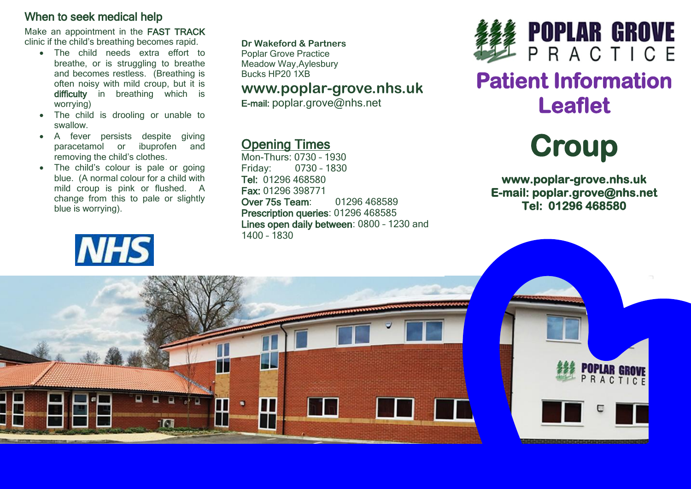#### When to seek medical help

Make an appointment in the FAST TRACK clinic if the child's breathing becomes rapid.

- The child needs extra effort to breathe, or is struggling to breathe and becomes restless. (Breathing is often noisy with mild croup, but it is difficulty in breathing which is worrying)
- The child is drooling or unable to swallow.
- A fever persists despite giving paracetamol or ibuprofen and removing the child's clothes.
- The child's colour is pale or going blue. (A normal colour for a child with mild croup is pink or flushed. A change from this to pale or slightly blue is worrying).



**Dr Wakeford & Partners** Poplar Grove Practice Meadow Way,Aylesbury

Bucks HP20 1XB

### **www.poplar-grove.nhs.uk**

E-mail: [poplar.grove@nhs.net](mailto:poplar.grove@nhs.net)

## Opening Times

Mon-Thurs: 0730 – 1930 0730 - 1830 Tel: 01296 468580 Fax: 01296 398771 Over 75s Team: 01296 468589 Prescription queries: 01296 468585 Lines open daily between: 0800 – 1230 and 1400 – 1830



## **Patient Information Leaflet**



**www.poplar-grove.nhs.uk E-mail: poplar.grove@nhs.net Tel: 01296 468580** 

ACTICE